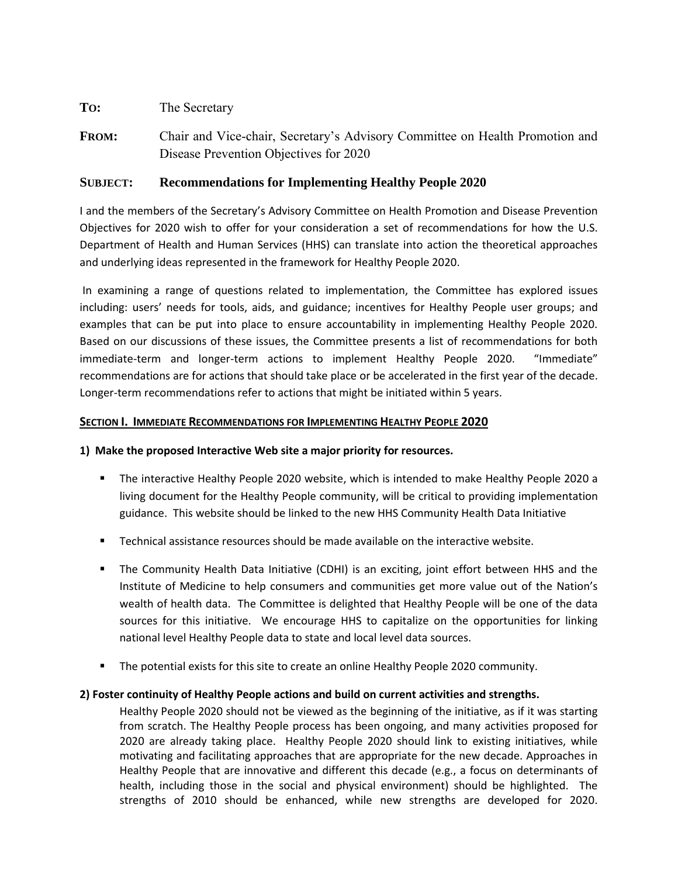# **TO:** The Secretary

**FROM:** Chair and Vice-chair, Secretary's Advisory Committee on Health Promotion and Disease Prevention Objectives for 2020

# **SUBJECT: Recommendations for Implementing Healthy People 2020**

I and the members of the Secretary's Advisory Committee on Health Promotion and Disease Prevention Objectives for 2020 wish to offer for your consideration a set of recommendations for how the U.S. Department of Health and Human Services (HHS) can translate into action the theoretical approaches and underlying ideas represented in the framework for Healthy People 2020.

 In examining a range of questions related to implementation, the Committee has explored issues including: users' needs for tools, aids, and guidance; incentives for Healthy People user groups; and examples that can be put into place to ensure accountability in implementing Healthy People 2020. Based on our discussions of these issues, the Committee presents a list of recommendations for both immediate-term and longer-term actions to implement Healthy People 2020. "Immediate" recommendations are for actions that should take place or be accelerated in the first year of the decade. Longer-term recommendations refer to actions that might be initiated within 5 years.

### **SECTION I. IMMEDIATE RECOMMENDATIONS FOR IMPLEMENTING HEALTHY PEOPLE 2020**

# **1) Make the proposed Interactive Web site a major priority for resources.**

- The interactive Healthy People 2020 website, which is intended to make Healthy People 2020 a living document for the Healthy People community, will be critical to providing implementation guidance. This website should be linked to the new HHS Community Health Data Initiative
- Technical assistance resources should be made available on the interactive website.
- The Community Health Data Initiative (CDHI) is an exciting, joint effort between HHS and the Institute of Medicine to help consumers and communities get more value out of the Nation's wealth of health data. The Committee is delighted that Healthy People will be one of the data sources for this initiative. We encourage HHS to capitalize on the opportunities for linking national level Healthy People data to state and local level data sources.
- **The potential exists for this site to create an online Healthy People 2020 community.**

# **2) Foster continuity of Healthy People actions and build on current activities and strengths.**

Healthy People 2020 should not be viewed as the beginning of the initiative, as if it was starting from scratch. The Healthy People process has been ongoing, and many activities proposed for 2020 are already taking place. Healthy People 2020 should link to existing initiatives, while motivating and facilitating approaches that are appropriate for the new decade. Approaches in Healthy People that are innovative and different this decade (e.g., a focus on determinants of health, including those in the social and physical environment) should be highlighted. The strengths of 2010 should be enhanced, while new strengths are developed for 2020.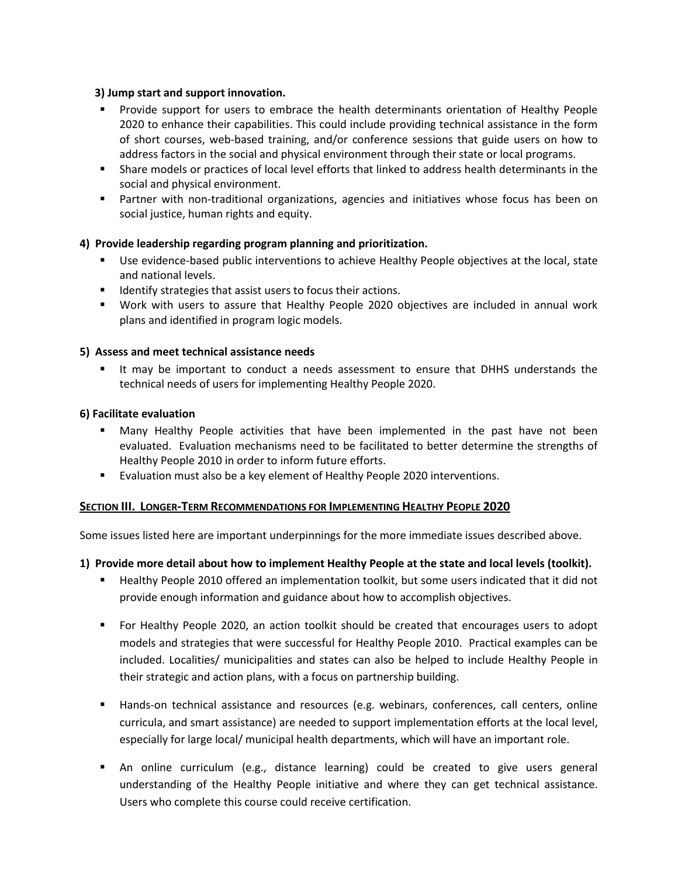#### **3) Jump start and support innovation.**

- Provide support for users to embrace the health determinants orientation of Healthy People 2020 to enhance their capabilities. This could include providing technical assistance in the form of short courses, web-based training, and/or conference sessions that guide users on how to address factors in the social and physical environment through their state or local programs.
- Share models or practices of local level efforts that linked to address health determinants in the social and physical environment.
- Partner with non-traditional organizations, agencies and initiatives whose focus has been on social justice, human rights and equity.

# **4) Provide leadership regarding program planning and prioritization.**

- Use evidence-based public interventions to achieve Healthy People objectives at the local, state and national levels.
- **IDENTIFY IDENTIFY** strategies that assist users to focus their actions.
- Work with users to assure that Healthy People 2020 objectives are included in annual work plans and identified in program logic models.

#### **5) Assess and meet technical assistance needs**

 It may be important to conduct a needs assessment to ensure that DHHS understands the technical needs of users for implementing Healthy People 2020.

#### **6) Facilitate evaluation**

- Many Healthy People activities that have been implemented in the past have not been evaluated. Evaluation mechanisms need to be facilitated to better determine the strengths of Healthy People 2010 in order to inform future efforts.
- **Evaluation must also be a key element of Healthy People 2020 interventions.**

#### **SECTION III. LONGER-TERM RECOMMENDATIONS FOR IMPLEMENTING HEALTHY PEOPLE 2020**

Some issues listed here are important underpinnings for the more immediate issues described above.

#### **1) Provide more detail about how to implement Healthy People at the state and local levels (toolkit).**

- Healthy People 2010 offered an implementation toolkit, but some users indicated that it did not provide enough information and guidance about how to accomplish objectives.
- For Healthy People 2020, an action toolkit should be created that encourages users to adopt models and strategies that were successful for Healthy People 2010. Practical examples can be included. Localities/ municipalities and states can also be helped to include Healthy People in their strategic and action plans, with a focus on partnership building.
- **Hands-on technical assistance and resources (e.g. webinars, conferences, call centers, online** curricula, and smart assistance) are needed to support implementation efforts at the local level, especially for large local/ municipal health departments, which will have an important role.
- An online curriculum (e.g., distance learning) could be created to give users general understanding of the Healthy People initiative and where they can get technical assistance. Users who complete this course could receive certification.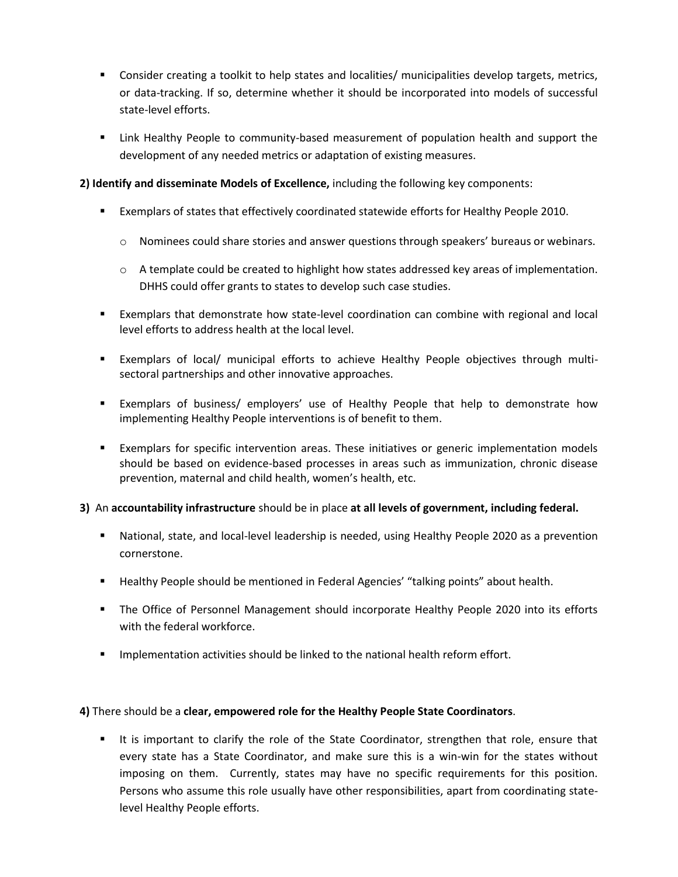- Consider creating a toolkit to help states and localities/ municipalities develop targets, metrics, or data-tracking. If so, determine whether it should be incorporated into models of successful state-level efforts.
- **EXT** Link Healthy People to community-based measurement of population health and support the development of any needed metrics or adaptation of existing measures.

# **2) Identify and disseminate Models of Excellence,** including the following key components:

- Exemplars of states that effectively coordinated statewide efforts for Healthy People 2010.
	- o Nominees could share stories and answer questions through speakers' bureaus or webinars.
	- o A template could be created to highlight how states addressed key areas of implementation. DHHS could offer grants to states to develop such case studies.
- Exemplars that demonstrate how state-level coordination can combine with regional and local level efforts to address health at the local level.
- Exemplars of local/ municipal efforts to achieve Healthy People objectives through multisectoral partnerships and other innovative approaches.
- Exemplars of business/ employers' use of Healthy People that help to demonstrate how implementing Healthy People interventions is of benefit to them.
- Exemplars for specific intervention areas. These initiatives or generic implementation models should be based on evidence-based processes in areas such as immunization, chronic disease prevention, maternal and child health, women's health, etc.

# **3)** An **accountability infrastructure** should be in place **at all levels of government, including federal.**

- National, state, and local-level leadership is needed, using Healthy People 2020 as a prevention cornerstone.
- Healthy People should be mentioned in Federal Agencies' "talking points" about health.
- The Office of Personnel Management should incorporate Healthy People 2020 into its efforts with the federal workforce.
- **IMPLEMENT IMPLE 10** Implementation activities should be linked to the national health reform effort.

#### **4)** There should be a **clear, empowered role for the Healthy People State Coordinators**.

 It is important to clarify the role of the State Coordinator, strengthen that role, ensure that every state has a State Coordinator, and make sure this is a win-win for the states without imposing on them. Currently, states may have no specific requirements for this position. Persons who assume this role usually have other responsibilities, apart from coordinating statelevel Healthy People efforts.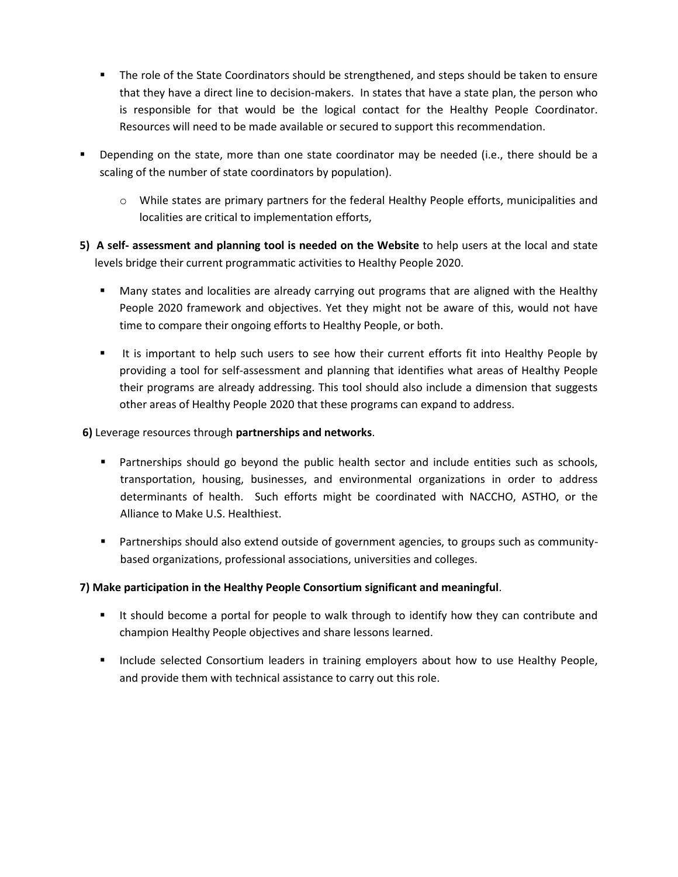- The role of the State Coordinators should be strengthened, and steps should be taken to ensure that they have a direct line to decision-makers. In states that have a state plan, the person who is responsible for that would be the logical contact for the Healthy People Coordinator. Resources will need to be made available or secured to support this recommendation.
- Depending on the state, more than one state coordinator may be needed (i.e., there should be a scaling of the number of state coordinators by population).
	- o While states are primary partners for the federal Healthy People efforts, municipalities and localities are critical to implementation efforts,
- **5) A self- assessment and planning tool is needed on the Website** to help users at the local and state levels bridge their current programmatic activities to Healthy People 2020.
	- **Many states and localities are already carrying out programs that are aligned with the Healthy** People 2020 framework and objectives. Yet they might not be aware of this, would not have time to compare their ongoing efforts to Healthy People, or both.
	- It is important to help such users to see how their current efforts fit into Healthy People by providing a tool for self-assessment and planning that identifies what areas of Healthy People their programs are already addressing. This tool should also include a dimension that suggests other areas of Healthy People 2020 that these programs can expand to address.

## **6)** Leverage resources through **partnerships and networks**.

- **Partnerships should go beyond the public health sector and include entities such as schools,** transportation, housing, businesses, and environmental organizations in order to address determinants of health. Such efforts might be coordinated with NACCHO, ASTHO, or the Alliance to Make U.S. Healthiest.
- Partnerships should also extend outside of government agencies, to groups such as communitybased organizations, professional associations, universities and colleges.

# **7) Make participation in the Healthy People Consortium significant and meaningful**.

- If should become a portal for people to walk through to identify how they can contribute and champion Healthy People objectives and share lessons learned.
- **Include selected Consortium leaders in training employers about how to use Healthy People,** and provide them with technical assistance to carry out this role.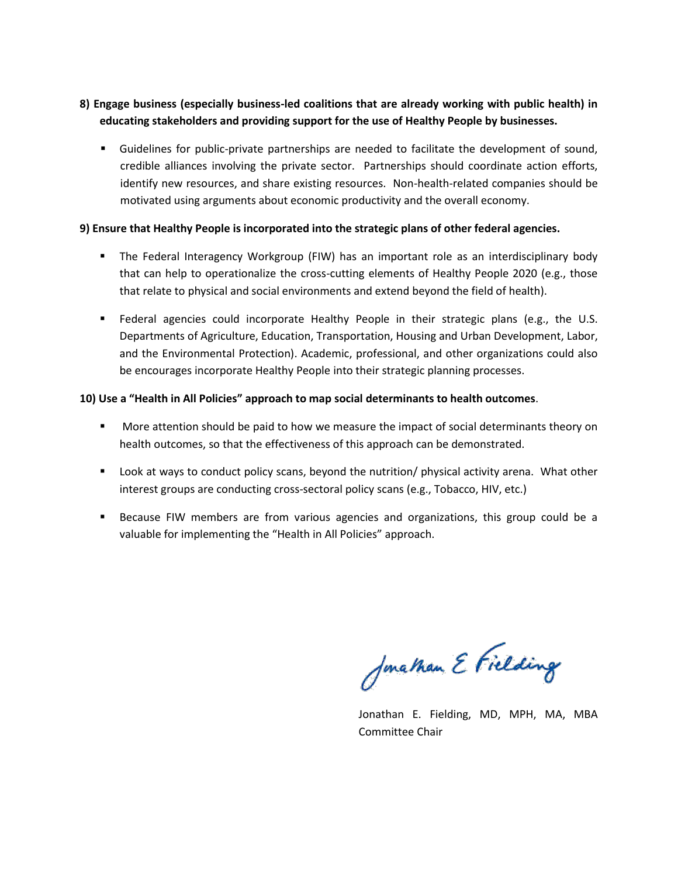# **8) Engage business (especially business-led coalitions that are already working with public health) in educating stakeholders and providing support for the use of Healthy People by businesses.**

 Guidelines for public-private partnerships are needed to facilitate the development of sound, credible alliances involving the private sector. Partnerships should coordinate action efforts, identify new resources, and share existing resources. Non-health-related companies should be motivated using arguments about economic productivity and the overall economy.

### **9) Ensure that Healthy People is incorporated into the strategic plans of other federal agencies.**

- The Federal Interagency Workgroup (FIW) has an important role as an interdisciplinary body that can help to operationalize the cross-cutting elements of Healthy People 2020 (e.g., those that relate to physical and social environments and extend beyond the field of health).
- Federal agencies could incorporate Healthy People in their strategic plans (e.g., the U.S. Departments of Agriculture, Education, Transportation, Housing and Urban Development, Labor, and the Environmental Protection). Academic, professional, and other organizations could also be encourages incorporate Healthy People into their strategic planning processes.

### **10) Use a "Health in All Policies" approach to map social determinants to health outcomes**.

- **More attention should be paid to how we measure the impact of social determinants theory on** health outcomes, so that the effectiveness of this approach can be demonstrated.
- Look at ways to conduct policy scans, beyond the nutrition/ physical activity arena. What other interest groups are conducting cross-sectoral policy scans (e.g., Tobacco, HIV, etc.)
- **Because FIW members are from various agencies and organizations, this group could be a** valuable for implementing the "Health in All Policies" approach.

Jonathan E Fielding

Jonathan E. Fielding, MD, MPH, MA, MBA Committee Chair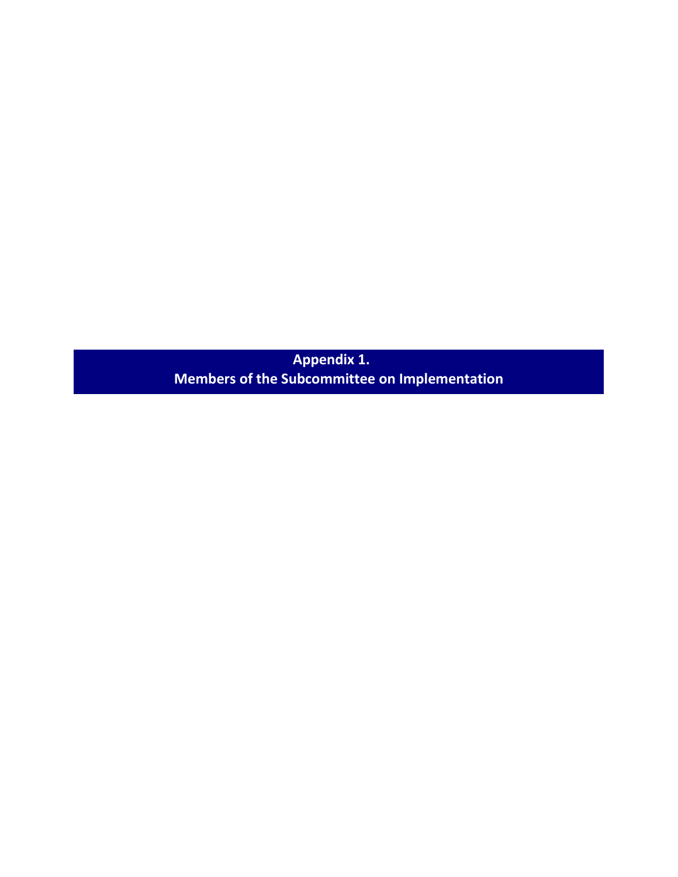**Appendix 1. Members of the Subcommittee on Implementation**